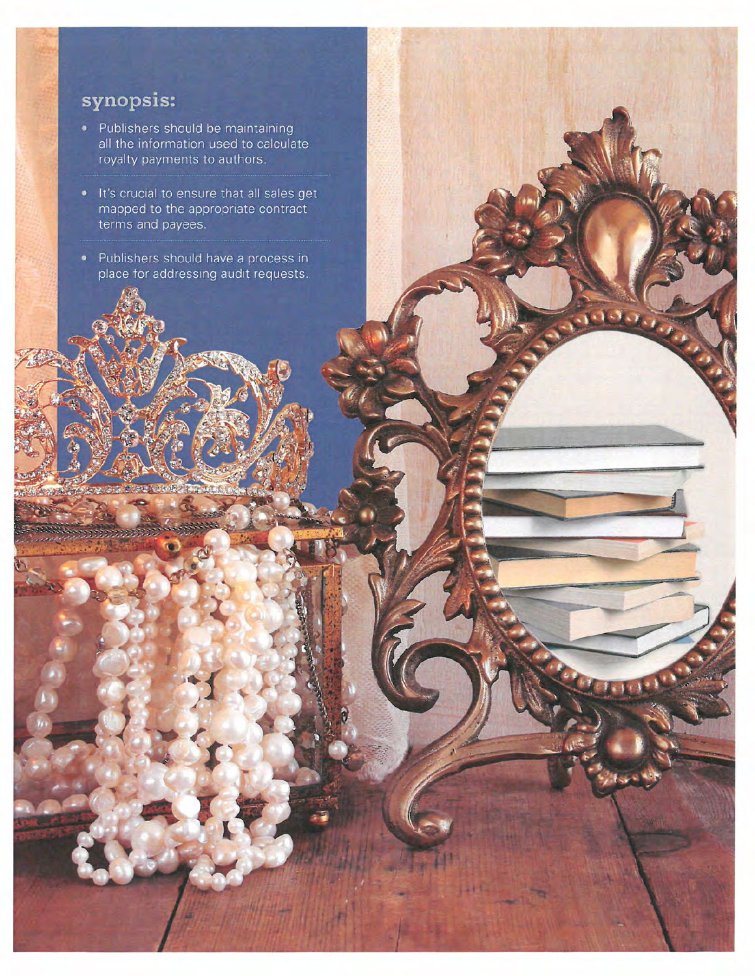# synopsis:

- Publishers should be maintaining all the information used to calculate royalty payments to authors.
- It's crucial to ensure that all sales get mapped to the appropriate contract terms and payees.
- Publishers should have a process in place for addressing audit requests.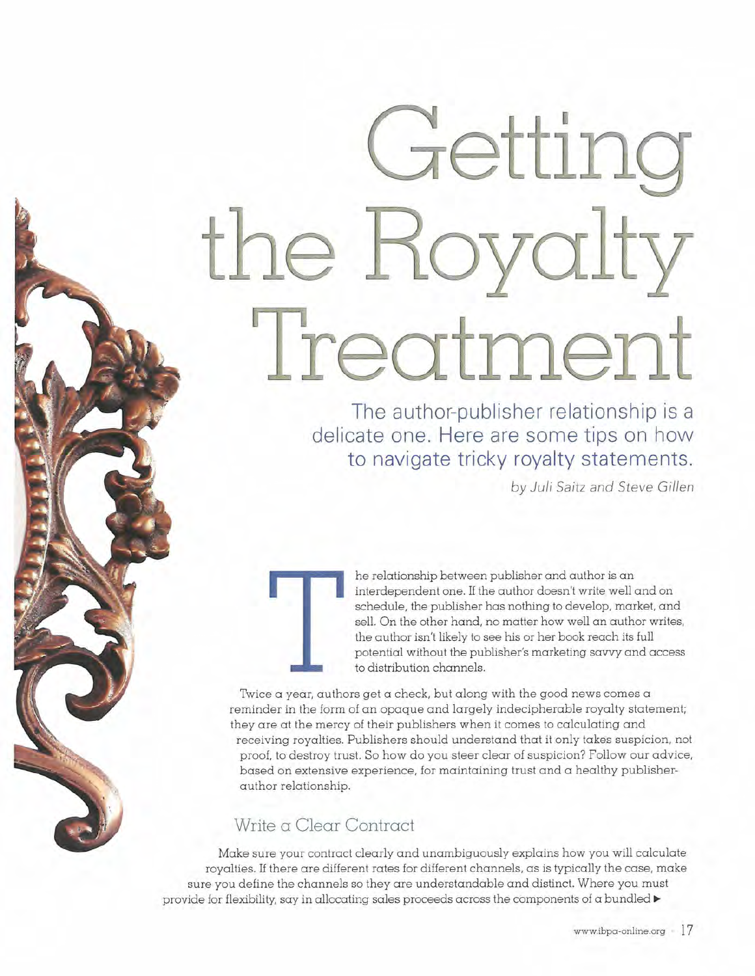# Getting e Rovalt Treatmer.

**The author-publisher relationship is a delicate one. Here are some tips on how to navigate tricky royalty statements.** 

*by Juli Saitz and Steve Gillen* 

he relationship between publisher and author is an interdependent one. If the author doesn't write well and on schedule, the publisher has nothing to develop, market, and sell. On the other hand, no matter how well an author writes, the author isn't likely to see his or her book reach its full potential without the publisher's marketing savvy and access to distribution channels.

Twice a year, authors get a check, but along with the good news comes  $\alpha$ reminder in the form of an opaque and largely indecipherable royalty statement; they are at the mercy of their publishers when it comes to calculating and receiving royalties. Publishers should understand that it only takes suspicion, not proof, to destroy trust. So how do you steer clear of suspicion? Follow our advice, based on extensive experience, for maintaining trust and a healthy publisherauthor relationship.

# Write a Clear Contract

Make sure your contract clearly and unambiguously explains how you will calculate royalties. If there are different rates for different channels, as is typically the case, make sure you define the channels so they are understandable and distinct. Where you must provide for flexibility, say in allocating sales proceeds across the components of a bundled  $\blacktriangleright$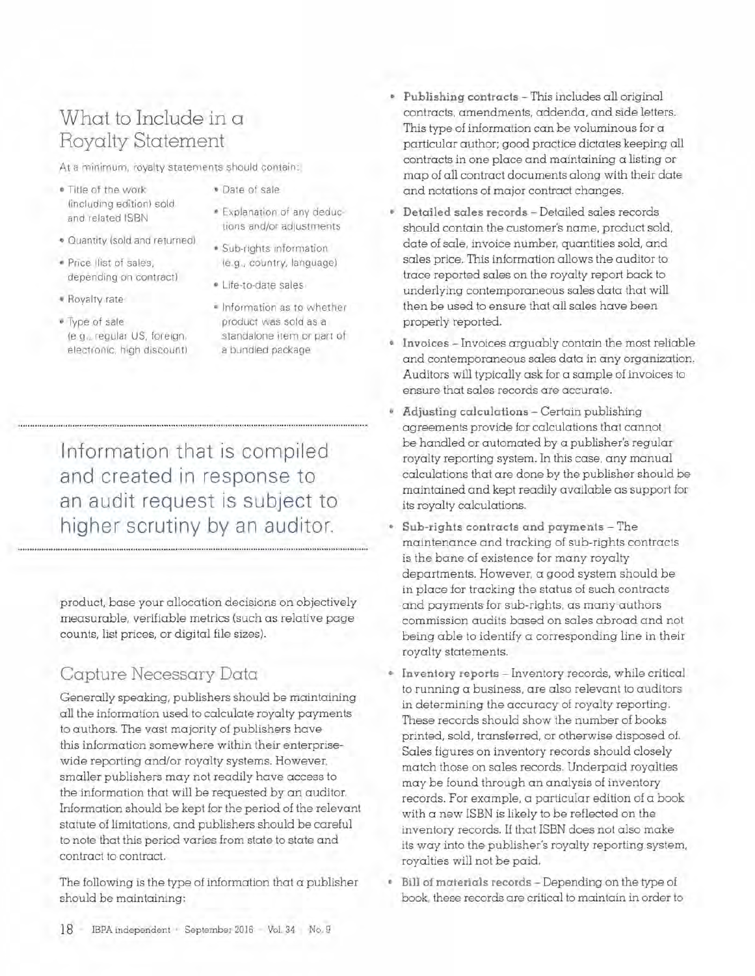# What to Include in a Royalty Statement

At a minimum, royalty statements should contain:

- Title of the work (including edition) sold and related ISBN
- Date of sale
- Quantity (sold and returned)
- Price (list of sales, depending on contract)
- Royalty rate
- Type of sale (e.g., regular US, foreign, electronic, high discount)
- 
- Explanation of any deductions and/or adjustments
- Sub-rights information (e.g., country, language)
- **o** Life-to-date sales
- Information as to whether product was sold as a standalone item or part of a bundled package

**Information that is compiled and created in response to an audit request is subject to higher scrutiny by an auditor.** 

product, base your allocation decisions on objectively measurable, verifiable metrics (such as relative page counts, list prices, or digital file sizes).

# Capture Necessary Data

Generally speaking, publishers should be maintaining all the information used to calculate royalty payments to authors. The vast majority of publishers have this information somewhere within their enterprisewide reporting and/or royalty systems. However, smaller publishers may not readily have access to the information that will be requested by an auditor. Information should be kept for the period of the relevant statute of limitations, and publishers should be careful to note that this period varies from state to state and contract to contract.

The following is the type of information that  $\alpha$  publisher should be maintaining:

- **Publishing contracts**  This includes all original contracts, amendments, addenda, and side letters. This type of information can be voluminous for a particular author; good practice dictates keeping all contracts in one place and maintaining a listing or map of all contract documents along with their date and notations of major contract changes.
- **Detailed sales records**  Detailed sales records should contain the customer's name, product sold, date of sale, invoice number, quantities sold, and sales price. This information allows the auditor to trace reported sales on the royalty report back to underlying contemporaneous sales data that will then be used to ensure that all sales have been properly reported.
- **Invoices** -Invoices arguably contain the most reliable and contemporaneous sales data in any organization. Auditors will typically ask for a sample of invoices to ensure that sales records are accurate.
- **Adjusting calculations** -Certain publishing agreements provide for calculations that cannot be handled or automated by a publisher's regular royalty reporting system. In this case, any manual calculations that are done by the publisher should be maintained and kept readily available as support for its royalty calculations.
- **Sub-rights contracts and pa yments** -The maintenance and tracking of sub-rights contracts is the bane of existence for many royalty departments. However, a good system should be in place for tracking the status of such contracts and payments for sub-rights, as many authors commission audits based on sales abroad and not being able to identify a corresponding line in their royalty statements.
- **Inventory reports** -Inventory records, while critical to running a business, are also relevant to auditors in determining the accuracy of royalty reporting. These records should show the number of books printed, sold, transferred, or otherwise disposed of. Sales figures on inventory records should closely match those on sales records. Underpaid royalties may be found through an analysis of inventory records. For example, a particular edition of a book with  $\alpha$  new ISBN is likely to be reflected on the inventory records. If that ISBN does not also make its way into the publisher's royalty reporting system, royalties will not be paid.
- **Bill of materials records**  Depending on the type of book, these records are critical to maintain in order to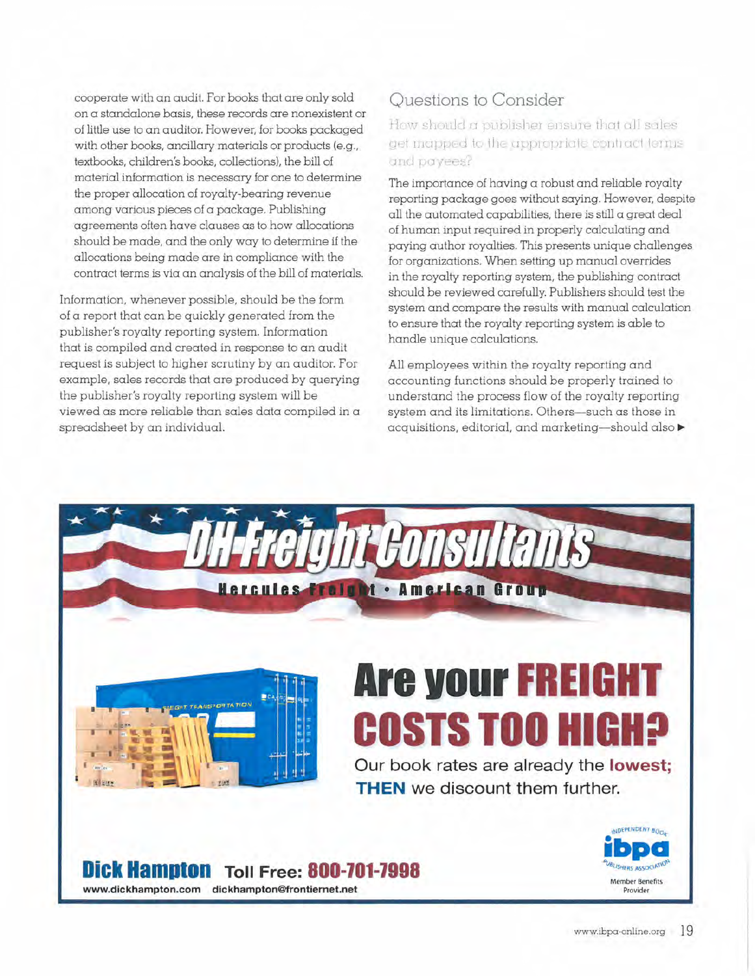cooperate with an audit. For books that are only sold on a standalone basis, these records are nonexistent or of little use to an auditor. However, for books packaged with other books, ancillary materials or products (e.g., textbooks, children's books, collections), the bill of material information is necessary for one to determine the proper allocation of royalty-bearing revenue among various pieces of a package. Publishing agreements often have clauses as to how allocations should be made, and the only way to determine if the allocations being made are in compliance with the contract terms is via an analysis of the bill of materials.

Information, whenever possible, should be the form of a report that can be quickly generated from the publisher's royalty reporting system. Information that is compiled and created in response to an audit request is subject to higher scrutiny by an auditor. For example, sales records that are produced by querying the publisher's royalty reporting system will be viewed as more reliable than sales data compiled in a spreadsheet by an individual.

## Questions to Consider

How should a publisher ensure that all sales get mapped to the appropriate contract terms 011d payees?

The importance of having a robust and reliable royalty reporting package goes without saying. However, despite all the automated capabilities, there is still a great deal of human input required in properly calculating and paying author royalties. This presents unique challenges for organizations. When setting up manual overrides in the royalty reporting system, the publishing contract should be reviewed carefully. Publishers should test the system and compare the results with manual calculation to ensure that the royalty reporting system is able to handle unique calculations.

All employees within the royalty reporting and accounting functions should be properly trained to understand the process flow of the royalty reporting system and its limitations. Others-such as those in acquisitions, editorial, and marketing-should also  $\blacktriangleright$ 

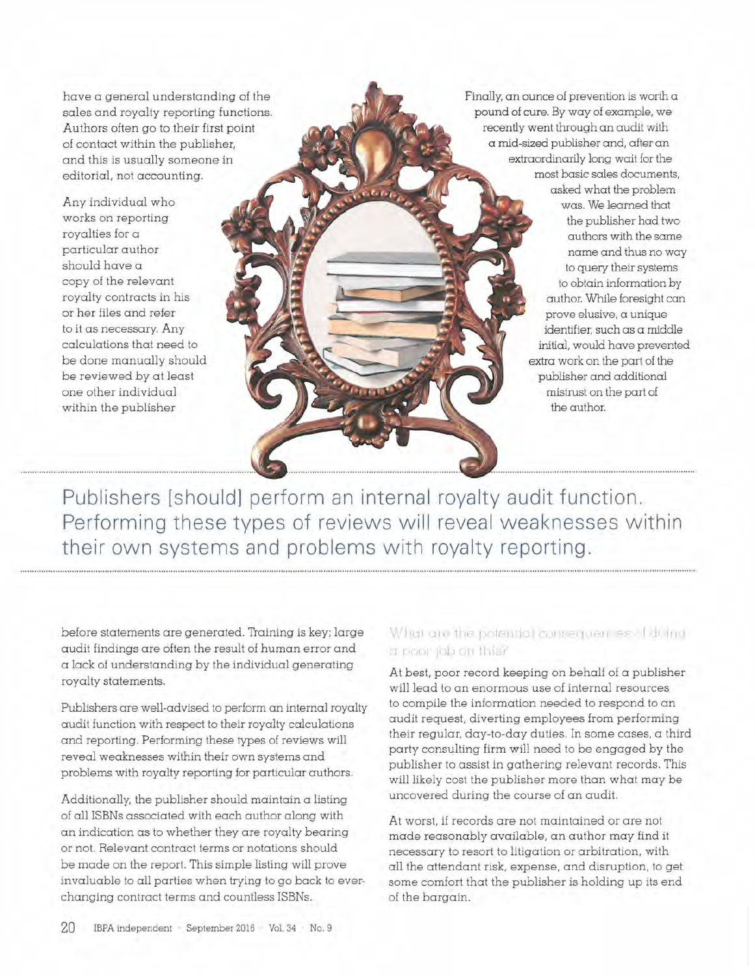have a general understanding of the sales and royalty reporting functions. Authors often go to their first point of contact within the publisher, and this is usually someone in editorial, not accounting.

Any individual who works on reporting royalties for a particular author should have a copy of the relevant royalty contracts in his or her files and refer to it as necessary. Any calculations that need to be done manually should be reviewed by at least one other individual within the publisher

Finally, an ounce of prevention is worth a pound of cure. By way of example, we recently went through an audit with a mid-sized publisher and, after an extraordinarily long wait for the most basic sales documents, asked what the problem was. We learned that the publisher had two authors with the same name and thus no way to query their systems to obtain information by author. While foresight can prove elusive, a unique identifier, such as a middle initial, would have prevented extra work on the part of the publisher and additional mistrust on the part of the author.

**Publishers [should] perform an internal royalty audit function. Performing these types of reviews will reveal weaknesses within their own systems and problems with royalty reporting.** 

before statements are generated. Training is key; large audit findings are often the result of human error and a lack of understanding by the individual generating royalty statements.

Publishers are well-advised to perform an internal royalty audit function with respect to their royalty calculations and reporting. Performing these types of reviews will reveal weaknesses within their own systems and problems with royalty reporting for particular authors.

Additionally, the publisher should maintain a listing of all ISBNs associated with each author along with an indication as to whether they are royalty bearing or not. Relevant contract terms or notations should be made on the report. This simple listing will prove invaluable to all parties when trying to go back to everchanging contract terms and countless ISBNs.

### What are the potential consequences: I doing a poor job on this?

At best, poor record keeping on behalf of a publisher will lead to an enormous use of internal resources to compile the information needed to respond to an audit request, diverting employees from performing their regular, day-to-day duties. In some cases, a third party consulting firm will need to be engaged by the publisher to assist in gathering relevant records. This will likely cost the publisher more than what may be uncovered during the course of an audit.

At worst, if records are not maintained or are not made reasonably available, an author may find it necessary to resort to litigation or arbitration, with all the attendant risk, expense, and disruption, to get some comfort that the publisher is holding up its end of the bargain.